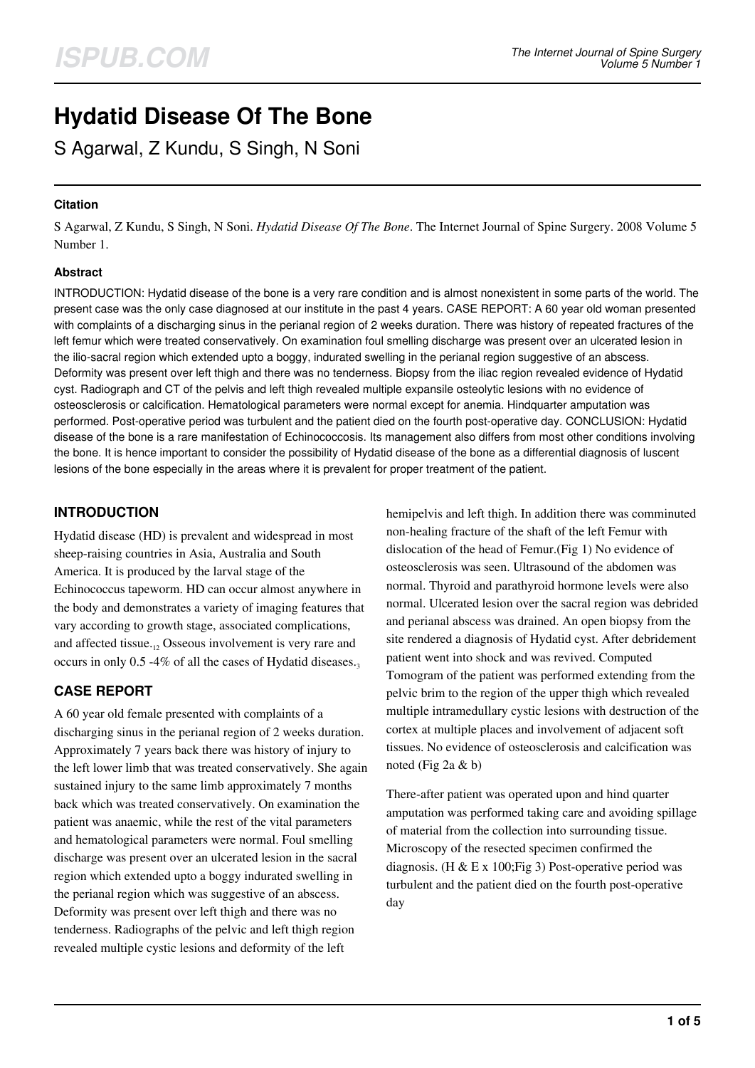# **Hydatid Disease Of The Bone**

S Agarwal, Z Kundu, S Singh, N Soni

## **Citation**

S Agarwal, Z Kundu, S Singh, N Soni. *Hydatid Disease Of The Bone*. The Internet Journal of Spine Surgery. 2008 Volume 5 Number 1.

## **Abstract**

INTRODUCTION: Hydatid disease of the bone is a very rare condition and is almost nonexistent in some parts of the world. The present case was the only case diagnosed at our institute in the past 4 years. CASE REPORT: A 60 year old woman presented with complaints of a discharging sinus in the perianal region of 2 weeks duration. There was history of repeated fractures of the left femur which were treated conservatively. On examination foul smelling discharge was present over an ulcerated lesion in the ilio-sacral region which extended upto a boggy, indurated swelling in the perianal region suggestive of an abscess. Deformity was present over left thigh and there was no tenderness. Biopsy from the iliac region revealed evidence of Hydatid cyst. Radiograph and CT of the pelvis and left thigh revealed multiple expansile osteolytic lesions with no evidence of osteosclerosis or calcification. Hematological parameters were normal except for anemia. Hindquarter amputation was performed. Post-operative period was turbulent and the patient died on the fourth post-operative day. CONCLUSION: Hydatid disease of the bone is a rare manifestation of Echinococcosis. Its management also differs from most other conditions involving the bone. It is hence important to consider the possibility of Hydatid disease of the bone as a differential diagnosis of luscent lesions of the bone especially in the areas where it is prevalent for proper treatment of the patient.

# **INTRODUCTION**

Hydatid disease (HD) is prevalent and widespread in most sheep-raising countries in Asia, Australia and South America. It is produced by the larval stage of the Echinococcus tapeworm. HD can occur almost anywhere in the body and demonstrates a variety of imaging features that vary according to growth stage, associated complications, and affected tissue. $_{12}$  Osseous involvement is very rare and occurs in only  $0.5 -4\%$  of all the cases of Hydatid diseases.

# **CASE REPORT**

A 60 year old female presented with complaints of a discharging sinus in the perianal region of 2 weeks duration. Approximately 7 years back there was history of injury to the left lower limb that was treated conservatively. She again sustained injury to the same limb approximately 7 months back which was treated conservatively. On examination the patient was anaemic, while the rest of the vital parameters and hematological parameters were normal. Foul smelling discharge was present over an ulcerated lesion in the sacral region which extended upto a boggy indurated swelling in the perianal region which was suggestive of an abscess. Deformity was present over left thigh and there was no tenderness. Radiographs of the pelvic and left thigh region revealed multiple cystic lesions and deformity of the left

hemipelvis and left thigh. In addition there was comminuted non-healing fracture of the shaft of the left Femur with dislocation of the head of Femur.(Fig 1) No evidence of osteosclerosis was seen. Ultrasound of the abdomen was normal. Thyroid and parathyroid hormone levels were also normal. Ulcerated lesion over the sacral region was debrided and perianal abscess was drained. An open biopsy from the site rendered a diagnosis of Hydatid cyst. After debridement patient went into shock and was revived. Computed Tomogram of the patient was performed extending from the pelvic brim to the region of the upper thigh which revealed multiple intramedullary cystic lesions with destruction of the cortex at multiple places and involvement of adjacent soft tissues. No evidence of osteosclerosis and calcification was noted (Fig 2a & b)

There-after patient was operated upon and hind quarter amputation was performed taking care and avoiding spillage of material from the collection into surrounding tissue. Microscopy of the resected specimen confirmed the diagnosis. (H & E x 100; Fig 3) Post-operative period was turbulent and the patient died on the fourth post-operative day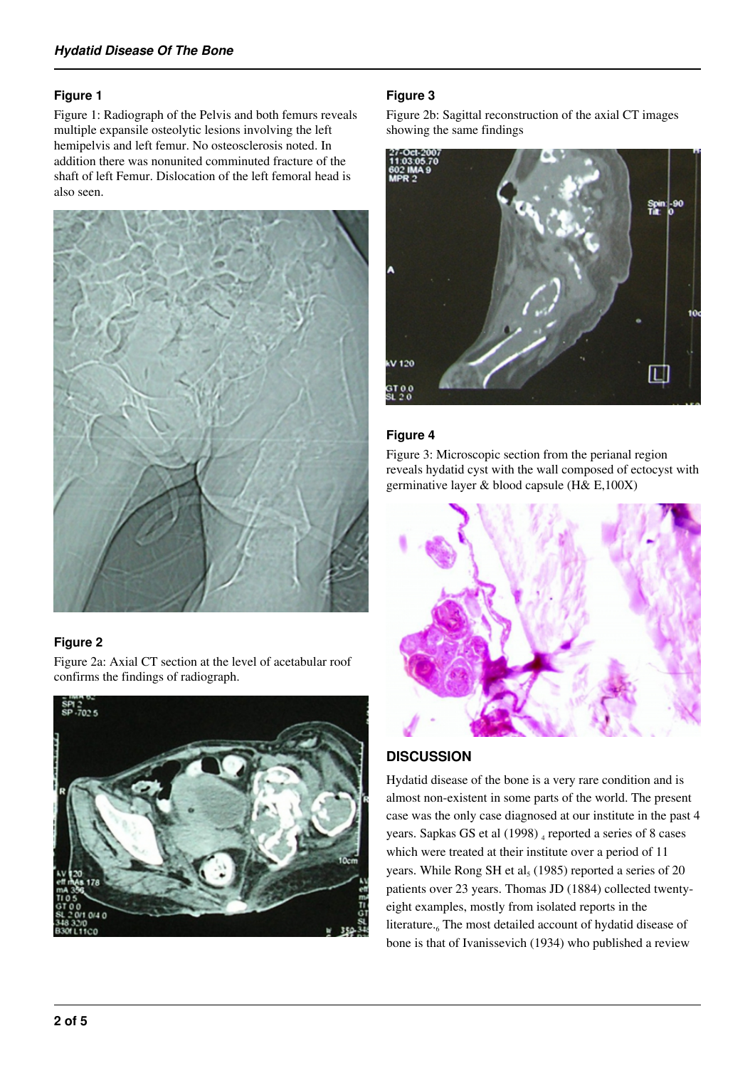# **Figure 1**

Figure 1: Radiograph of the Pelvis and both femurs reveals multiple expansile osteolytic lesions involving the left hemipelvis and left femur. No osteosclerosis noted. In addition there was nonunited comminuted fracture of the shaft of left Femur. Dislocation of the left femoral head is also seen.



# **Figure 2**

Figure 2a: Axial CT section at the level of acetabular roof confirms the findings of radiograph.



# **Figure 3**

Figure 2b: Sagittal reconstruction of the axial CT images showing the same findings



# **Figure 4**

Figure 3: Microscopic section from the perianal region reveals hydatid cyst with the wall composed of ectocyst with germinative layer & blood capsule (H& E,100X)



# **DISCUSSION**

Hydatid disease of the bone is a very rare condition and is almost non-existent in some parts of the world. The present case was the only case diagnosed at our institute in the past 4 years. Sapkas GS et al (1998) 4 reported a series of 8 cases which were treated at their institute over a period of 11 years. While Rong SH et  $al<sub>5</sub>$  (1985) reported a series of 20 patients over 23 years. Thomas JD (1884) collected twentyeight examples, mostly from isolated reports in the literature.<sub>6</sub> The most detailed account of hydatid disease of bone is that of Ivanissevich (1934) who published a review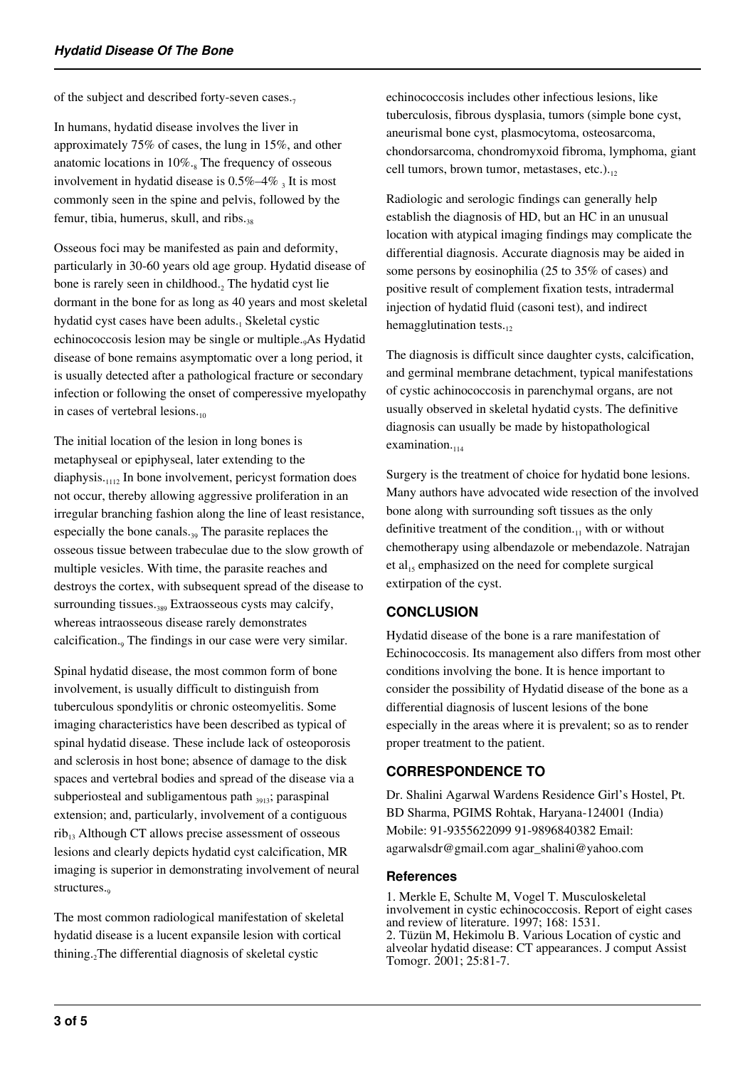of the subject and described forty-seven cases. $<sub>7</sub>$ </sub>

In humans, hydatid disease involves the liver in approximately 75% of cases, the lung in 15%, and other anatomic locations in  $10\%$ .<sub>8</sub> The frequency of osseous involvement in hydatid disease is  $0.5\%$ –4 $\%$  3 It is most commonly seen in the spine and pelvis, followed by the femur, tibia, humerus, skull, and ribs.<sub>38</sub>

Osseous foci may be manifested as pain and deformity, particularly in 30-60 years old age group. Hydatid disease of bone is rarely seen in childhood.<sub>2</sub> The hydatid cyst lie dormant in the bone for as long as 40 years and most skeletal hydatid cyst cases have been adults.<sub>1</sub> Skeletal cystic echinococcosis lesion may be single or multiple.9As Hydatid disease of bone remains asymptomatic over a long period, it is usually detected after a pathological fracture or secondary infection or following the onset of comperessive myelopathy in cases of vertebral lesions. $_{10}$ 

The initial location of the lesion in long bones is metaphyseal or epiphyseal, later extending to the diaphysis.<sub>1112</sub> In bone involvement, pericyst formation does not occur, thereby allowing aggressive proliferation in an irregular branching fashion along the line of least resistance, especially the bone canals.<sub>39</sub> The parasite replaces the osseous tissue between trabeculae due to the slow growth of multiple vesicles. With time, the parasite reaches and destroys the cortex, with subsequent spread of the disease to surrounding tissues.<sub>389</sub> Extraosseous cysts may calcify, whereas intraosseous disease rarely demonstrates calcification.<sub>9</sub> The findings in our case were very similar.

Spinal hydatid disease, the most common form of bone involvement, is usually difficult to distinguish from tuberculous spondylitis or chronic osteomyelitis. Some imaging characteristics have been described as typical of spinal hydatid disease. These include lack of osteoporosis and sclerosis in host bone; absence of damage to the disk spaces and vertebral bodies and spread of the disease via a subperiosteal and subligamentous path 3913; paraspinal extension; and, particularly, involvement of a contiguous  $rib_{13}$  Although CT allows precise assessment of osseous lesions and clearly depicts hydatid cyst calcification, MR imaging is superior in demonstrating involvement of neural structures.

The most common radiological manifestation of skeletal hydatid disease is a lucent expansile lesion with cortical thining.<sub>2</sub>The differential diagnosis of skeletal cystic

echinococcosis includes other infectious lesions, like tuberculosis, fibrous dysplasia, tumors (simple bone cyst, aneurismal bone cyst, plasmocytoma, osteosarcoma, chondorsarcoma, chondromyxoid fibroma, lymphoma, giant cell tumors, brown tumor, metastases, etc.). $_{12}$ 

Radiologic and serologic findings can generally help establish the diagnosis of HD, but an HC in an unusual location with atypical imaging findings may complicate the differential diagnosis. Accurate diagnosis may be aided in some persons by eosinophilia (25 to 35% of cases) and positive result of complement fixation tests, intradermal injection of hydatid fluid (casoni test), and indirect hemagglutination tests. $_{12}$ 

The diagnosis is difficult since daughter cysts, calcification, and germinal membrane detachment, typical manifestations of cystic achinococcosis in parenchymal organs, are not usually observed in skeletal hydatid cysts. The definitive diagnosis can usually be made by histopathological examination. $_{114}$ 

Surgery is the treatment of choice for hydatid bone lesions. Many authors have advocated wide resection of the involved bone along with surrounding soft tissues as the only definitive treatment of the condition. $\mathbf{u}_1$  with or without chemotherapy using albendazole or mebendazole. Natrajan et al<sub>15</sub> emphasized on the need for complete surgical extirpation of the cyst.

# **CONCLUSION**

Hydatid disease of the bone is a rare manifestation of Echinococcosis. Its management also differs from most other conditions involving the bone. It is hence important to consider the possibility of Hydatid disease of the bone as a differential diagnosis of luscent lesions of the bone especially in the areas where it is prevalent; so as to render proper treatment to the patient.

# **CORRESPONDENCE TO**

Dr. Shalini Agarwal Wardens Residence Girl's Hostel, Pt. BD Sharma, PGIMS Rohtak, Haryana-124001 (India) Mobile: 91-9355622099 91-9896840382 Email: agarwalsdr@gmail.com agar\_shalini@yahoo.com

## **References**

1. Merkle E, Schulte M, Vogel T. Musculoskeletal involvement in cystic echinococcosis. Report of eight cases and review of literature. 1997; 168: 1531. 2. Tüzün M, Hekimolu B. Various Location of cystic and alveolar hydatid disease: CT appearances. J comput Assist Tomogr. 2001; 25:81-7.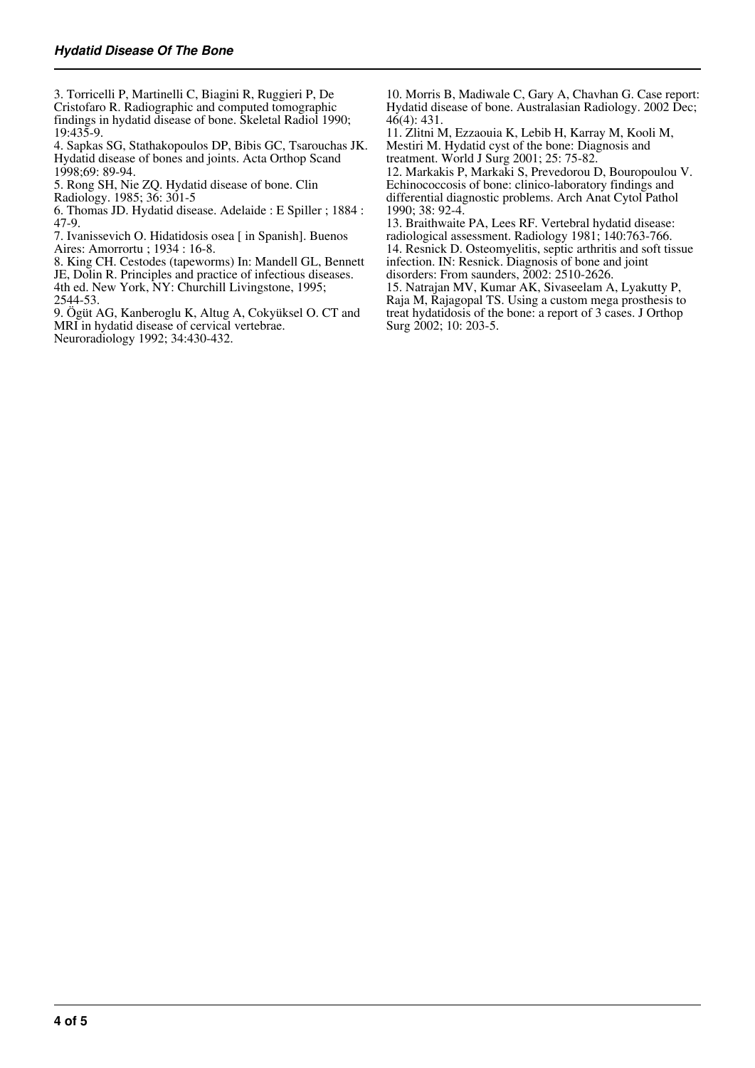3. Torricelli P, Martinelli C, Biagini R, Ruggieri P, De Cristofaro R. Radiographic and computed tomographic findings in hydatid disease of bone. Skeletal Radiol 1990; 19:435-9.

4. Sapkas SG, Stathakopoulos DP, Bibis GC, Tsarouchas JK. Hydatid disease of bones and joints. Acta Orthop Scand 1998;69: 89-94.

5. Rong SH, Nie ZQ. Hydatid disease of bone. Clin Radiology. 1985; 36: 301-5

6. Thomas JD. Hydatid disease. Adelaide : E Spiller ; 1884 : 47-9.

7. Ivanissevich O. Hidatidosis osea [ in Spanish]. Buenos Aires: Amorrortu ; 1934 : 16-8.

8. King CH. Cestodes (tapeworms) In: Mandell GL, Bennett JE, Dolin R. Principles and practice of infectious diseases. 4th ed. New York, NY: Churchill Livingstone, 1995; 2544-53.

9. Ögüt AG, Kanberoglu K, Altug A, Cokyüksel O. CT and MRI in hydatid disease of cervical vertebrae. Neuroradiology 1992; 34:430-432.

10. Morris B, Madiwale C, Gary A, Chavhan G. Case report: Hydatid disease of bone. Australasian Radiology. 2002 Dec;  $46(4): 431.$ 

11. Zlitni M, Ezzaouia K, Lebib H, Karray M, Kooli M, Mestiri M. Hydatid cyst of the bone: Diagnosis and treatment. World J Surg 2001; 25: 75-82.

12. Markakis P, Markaki S, Prevedorou D, Bouropoulou V. Echinococcosis of bone: clinico-laboratory findings and differential diagnostic problems. Arch Anat Cytol Pathol 1990; 38: 92-4.

13. Braithwaite PA, Lees RF. Vertebral hydatid disease: radiological assessment. Radiology 1981; 140:763-766. 14. Resnick D. Osteomyelitis, septic arthritis and soft tissue infection. IN: Resnick. Diagnosis of bone and joint disorders: From saunders, 2002: 2510-2626.

15. Natrajan MV, Kumar AK, Sivaseelam A, Lyakutty P, Raja M, Rajagopal TS. Using a custom mega prosthesis to treat hydatidosis of the bone: a report of 3 cases. J Orthop Surg 2002; 10: 203-5.